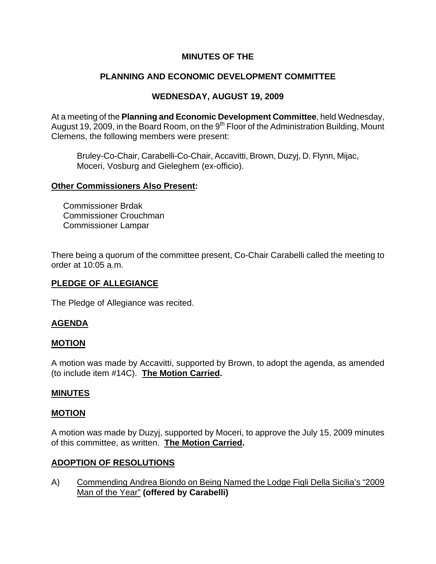# **MINUTES OF THE**

# **PLANNING AND ECONOMIC DEVELOPMENT COMMITTEE**

# **WEDNESDAY, AUGUST 19, 2009**

At a meeting of the **Planning and Economic Development Committee**, held Wednesday, August 19, 2009, in the Board Room, on the 9<sup>th</sup> Floor of the Administration Building, Mount Clemens, the following members were present:

Bruley-Co-Chair, Carabelli-Co-Chair, Accavitti, Brown, Duzyj, D. Flynn, Mijac, Moceri, Vosburg and Gieleghem (ex-officio).

### **Other Commissioners Also Present:**

 Commissioner Brdak Commissioner Crouchman Commissioner Lampar

There being a quorum of the committee present, Co-Chair Carabelli called the meeting to order at 10:05 a.m.

# **PLEDGE OF ALLEGIANCE**

The Pledge of Allegiance was recited.

# **AGENDA**

# **MOTION**

A motion was made by Accavitti, supported by Brown, to adopt the agenda, as amended (to include item #14C). **The Motion Carried.** 

# **MINUTES**

### **MOTION**

A motion was made by Duzyj, supported by Moceri, to approve the July 15, 2009 minutes of this committee, as written. **The Motion Carried.** 

# **ADOPTION OF RESOLUTIONS**

A) Commending Andrea Biondo on Being Named the Lodge Figli Della Sicilia's "2009 Man of the Year" **(offered by Carabelli)**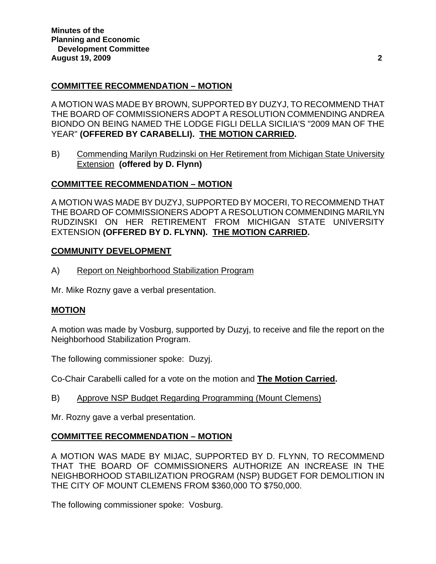### **COMMITTEE RECOMMENDATION – MOTION**

A MOTION WAS MADE BY BROWN, SUPPORTED BY DUZYJ, TO RECOMMEND THAT THE BOARD OF COMMISSIONERS ADOPT A RESOLUTION COMMENDING ANDREA BIONDO ON BEING NAMED THE LODGE FIGLI DELLA SICILIA'S "2009 MAN OF THE YEAR" **(OFFERED BY CARABELLI). THE MOTION CARRIED.** 

B) Commending Marilyn Rudzinski on Her Retirement from Michigan State University Extension **(offered by D. Flynn)**

# **COMMITTEE RECOMMENDATION – MOTION**

A MOTION WAS MADE BY DUZYJ, SUPPORTED BY MOCERI, TO RECOMMEND THAT THE BOARD OF COMMISSIONERS ADOPT A RESOLUTION COMMENDING MARILYN RUDZINSKI ON HER RETIREMENT FROM MICHIGAN STATE UNIVERSITY EXTENSION **(OFFERED BY D. FLYNN). THE MOTION CARRIED.** 

### **COMMUNITY DEVELOPMENT**

A) Report on Neighborhood Stabilization Program

Mr. Mike Rozny gave a verbal presentation.

### **MOTION**

A motion was made by Vosburg, supported by Duzyj, to receive and file the report on the Neighborhood Stabilization Program.

The following commissioner spoke: Duzyj.

Co-Chair Carabelli called for a vote on the motion and **The Motion Carried.** 

B) Approve NSP Budget Regarding Programming (Mount Clemens)

Mr. Rozny gave a verbal presentation.

# **COMMITTEE RECOMMENDATION – MOTION**

A MOTION WAS MADE BY MIJAC, SUPPORTED BY D. FLYNN, TO RECOMMEND THAT THE BOARD OF COMMISSIONERS AUTHORIZE AN INCREASE IN THE NEIGHBORHOOD STABILIZATION PROGRAM (NSP) BUDGET FOR DEMOLITION IN THE CITY OF MOUNT CLEMENS FROM \$360,000 TO \$750,000.

The following commissioner spoke: Vosburg.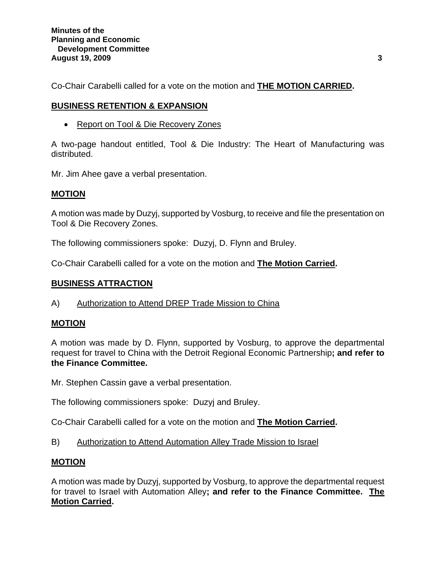Co-Chair Carabelli called for a vote on the motion and **THE MOTION CARRIED.** 

# **BUSINESS RETENTION & EXPANSION**

• Report on Tool & Die Recovery Zones

A two-page handout entitled, Tool & Die Industry: The Heart of Manufacturing was distributed.

Mr. Jim Ahee gave a verbal presentation.

# **MOTION**

A motion was made by Duzyj, supported by Vosburg, to receive and file the presentation on Tool & Die Recovery Zones.

The following commissioners spoke: Duzyj, D. Flynn and Bruley.

Co-Chair Carabelli called for a vote on the motion and **The Motion Carried.** 

# **BUSINESS ATTRACTION**

A) Authorization to Attend DREP Trade Mission to China

# **MOTION**

A motion was made by D. Flynn, supported by Vosburg, to approve the departmental request for travel to China with the Detroit Regional Economic Partnership**; and refer to the Finance Committee.** 

Mr. Stephen Cassin gave a verbal presentation.

The following commissioners spoke: Duzyj and Bruley.

Co-Chair Carabelli called for a vote on the motion and **The Motion Carried.** 

B) Authorization to Attend Automation Alley Trade Mission to Israel

# **MOTION**

A motion was made by Duzyj, supported by Vosburg, to approve the departmental request for travel to Israel with Automation Alley**; and refer to the Finance Committee. The Motion Carried.**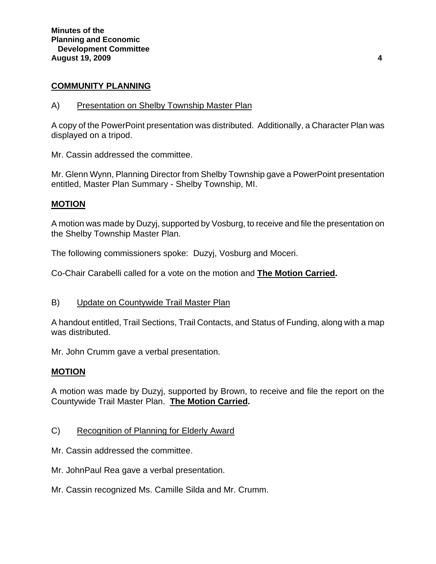### **COMMUNITY PLANNING**

### A) Presentation on Shelby Township Master Plan

A copy of the PowerPoint presentation was distributed. Additionally, a Character Plan was displayed on a tripod.

Mr. Cassin addressed the committee.

Mr. Glenn Wynn, Planning Director from Shelby Township gave a PowerPoint presentation entitled, Master Plan Summary - Shelby Township, MI.

### **MOTION**

A motion was made by Duzyj, supported by Vosburg, to receive and file the presentation on the Shelby Township Master Plan.

The following commissioners spoke: Duzyj, Vosburg and Moceri.

Co-Chair Carabelli called for a vote on the motion and **The Motion Carried.** 

### B) Update on Countywide Trail Master Plan

A handout entitled, Trail Sections, Trail Contacts, and Status of Funding, along with a map was distributed.

Mr. John Crumm gave a verbal presentation.

### **MOTION**

A motion was made by Duzyj, supported by Brown, to receive and file the report on the Countywide Trail Master Plan. **The Motion Carried.** 

- C) Recognition of Planning for Elderly Award
- Mr. Cassin addressed the committee.
- Mr. JohnPaul Rea gave a verbal presentation.
- Mr. Cassin recognized Ms. Camille Silda and Mr. Crumm.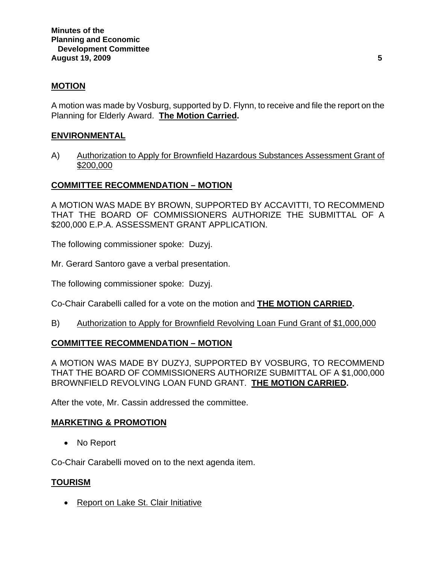### **MOTION**

A motion was made by Vosburg, supported by D. Flynn, to receive and file the report on the Planning for Elderly Award. **The Motion Carried.** 

### **ENVIRONMENTAL**

A) Authorization to Apply for Brownfield Hazardous Substances Assessment Grant of \$200,000

# **COMMITTEE RECOMMENDATION – MOTION**

A MOTION WAS MADE BY BROWN, SUPPORTED BY ACCAVITTI, TO RECOMMEND THAT THE BOARD OF COMMISSIONERS AUTHORIZE THE SUBMITTAL OF A \$200,000 E.P.A. ASSESSMENT GRANT APPLICATION.

The following commissioner spoke: Duzyj.

Mr. Gerard Santoro gave a verbal presentation.

The following commissioner spoke: Duzyj.

Co-Chair Carabelli called for a vote on the motion and **THE MOTION CARRIED.** 

B) Authorization to Apply for Brownfield Revolving Loan Fund Grant of \$1,000,000

### **COMMITTEE RECOMMENDATION – MOTION**

A MOTION WAS MADE BY DUZYJ, SUPPORTED BY VOSBURG, TO RECOMMEND THAT THE BOARD OF COMMISSIONERS AUTHORIZE SUBMITTAL OF A \$1,000,000 BROWNFIELD REVOLVING LOAN FUND GRANT. **THE MOTION CARRIED.** 

After the vote, Mr. Cassin addressed the committee.

### **MARKETING & PROMOTION**

• No Report

Co-Chair Carabelli moved on to the next agenda item.

### **TOURISM**

• Report on Lake St. Clair Initiative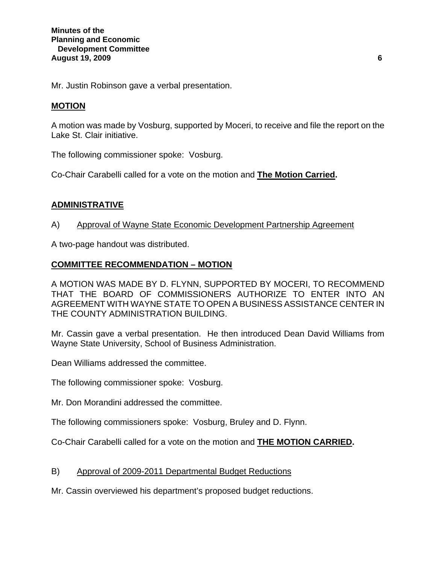Mr. Justin Robinson gave a verbal presentation.

### **MOTION**

A motion was made by Vosburg, supported by Moceri, to receive and file the report on the Lake St. Clair initiative.

The following commissioner spoke: Vosburg.

Co-Chair Carabelli called for a vote on the motion and **The Motion Carried.** 

# **ADMINISTRATIVE**

### A) Approval of Wayne State Economic Development Partnership Agreement

A two-page handout was distributed.

# **COMMITTEE RECOMMENDATION – MOTION**

A MOTION WAS MADE BY D. FLYNN, SUPPORTED BY MOCERI, TO RECOMMEND THAT THE BOARD OF COMMISSIONERS AUTHORIZE TO ENTER INTO AN AGREEMENT WITH WAYNE STATE TO OPEN A BUSINESS ASSISTANCE CENTER IN THE COUNTY ADMINISTRATION BUILDING.

Mr. Cassin gave a verbal presentation. He then introduced Dean David Williams from Wayne State University, School of Business Administration.

Dean Williams addressed the committee.

The following commissioner spoke: Vosburg.

Mr. Don Morandini addressed the committee.

The following commissioners spoke: Vosburg, Bruley and D. Flynn.

Co-Chair Carabelli called for a vote on the motion and **THE MOTION CARRIED.**

### B) Approval of 2009-2011 Departmental Budget Reductions

Mr. Cassin overviewed his department's proposed budget reductions.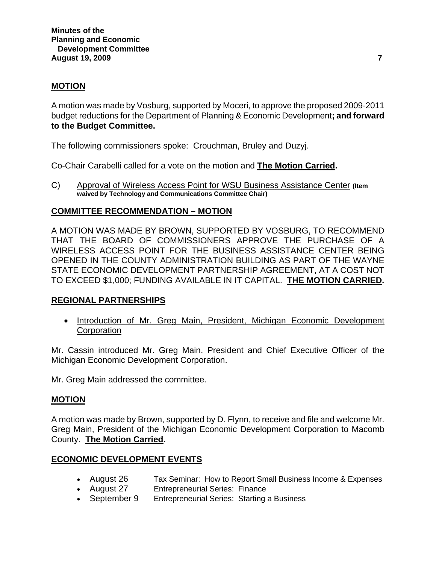### **MOTION**

A motion was made by Vosburg, supported by Moceri, to approve the proposed 2009-2011 budget reductions for the Department of Planning & Economic Development**; and forward to the Budget Committee.** 

The following commissioners spoke: Crouchman, Bruley and Duzyj.

Co-Chair Carabelli called for a vote on the motion and **The Motion Carried.** 

C) Approval of Wireless Access Point for WSU Business Assistance Center **(Item waived by Technology and Communications Committee Chair)** 

### **COMMITTEE RECOMMENDATION – MOTION**

A MOTION WAS MADE BY BROWN, SUPPORTED BY VOSBURG, TO RECOMMEND THAT THE BOARD OF COMMISSIONERS APPROVE THE PURCHASE OF A WIRELESS ACCESS POINT FOR THE BUSINESS ASSISTANCE CENTER BEING OPENED IN THE COUNTY ADMINISTRATION BUILDING AS PART OF THE WAYNE STATE ECONOMIC DEVELOPMENT PARTNERSHIP AGREEMENT, AT A COST NOT TO EXCEED \$1,000; FUNDING AVAILABLE IN IT CAPITAL. **THE MOTION CARRIED.** 

### **REGIONAL PARTNERSHIPS**

• Introduction of Mr. Greg Main, President, Michigan Economic Development **Corporation** 

Mr. Cassin introduced Mr. Greg Main, President and Chief Executive Officer of the Michigan Economic Development Corporation.

Mr. Greg Main addressed the committee.

### **MOTION**

A motion was made by Brown, supported by D. Flynn, to receive and file and welcome Mr. Greg Main, President of the Michigan Economic Development Corporation to Macomb County. **The Motion Carried.** 

# **ECONOMIC DEVELOPMENT EVENTS**

- August 26 Tax Seminar: How to Report Small Business Income & Expenses
- August 27 Entrepreneurial Series: Finance
- September 9 Entrepreneurial Series: Starting a Business